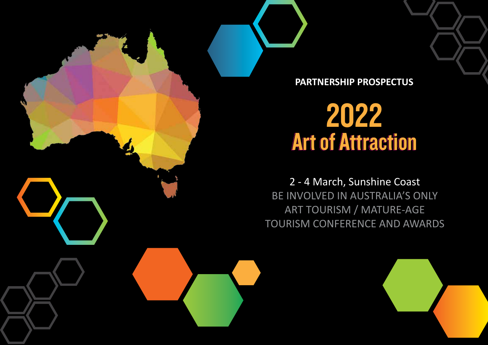

**PARTNERSHIP PROSPECTUS**

# 2022 Art of Attraction

2 - 4 March, Sunshine Coast BE INVOLVED IN AUSTRALIA'S ONLY ART TOURISM / MATURE-AGE TOURISM CONFERENCE AND AWARDS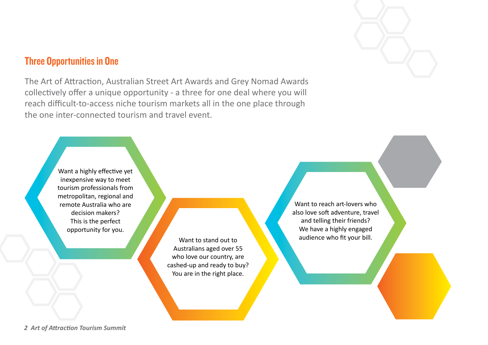### Three Opportunities in One

The Art of Attraction, Australian Street Art Awards and Grey Nomad Awards collectively offer a unique opportunity - a three for one deal where you will reach difficult-to-access niche tourism markets all in the one place through the one inter-connected tourism and travel event.

> Want a highly effective yet inexpensive way to meet tourism professionals from metropolitan, regional and remote Australia who are decision makers? This is the perfect opportunity for you.

> > Want to stand out to Australians aged over 55 who love our country, are cashed-up and ready to buy? You are in the right place.

Want to reach art-lovers who also love soft adventure, travel and telling their friends? We have a highly engaged audience who fit your bill.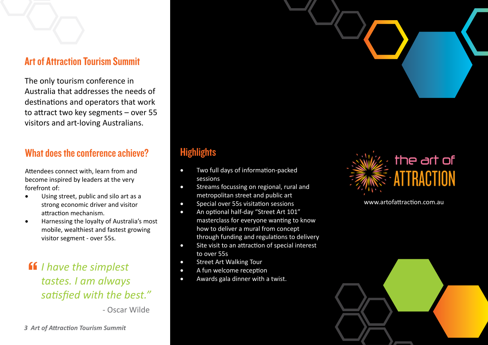### Art of Attraction Tourism Summit

The only tourism conference in Australia that addresses the needs of destinations and operators that work to attract two key segments – over 55 visitors and art-loving Australians.

### What does the conference achieve?

Attendees connect with, learn from and become inspired by leaders at the very forefront of:

- Using street, public and silo art as a strong economic driver and visitor attraction mechanism.
- Harnessing the loyalty of Australia's most mobile, wealthiest and fastest growing visitor segment - over 55s.

**ff** I have the simplest<br>tastes. I am always *tastes. I am always satisfied with the best."*

- Oscar Wilde

## **Highlights**

- Two full days of information-packed sessions
- • Streams focussing on regional, rural and metropolitan street and public art
- Special over 55s visitation sessions
- An optional half-day "Street Art 101" masterclass for everyone wanting to know how to deliver a mural from concept through funding and regulations to delivery
- Site visit to an attraction of special interest to over 55s
- **Street Art Walking Tour**
- A fun welcome reception
- • Awards gala dinner with a twist.



www.artofattraction.com.au

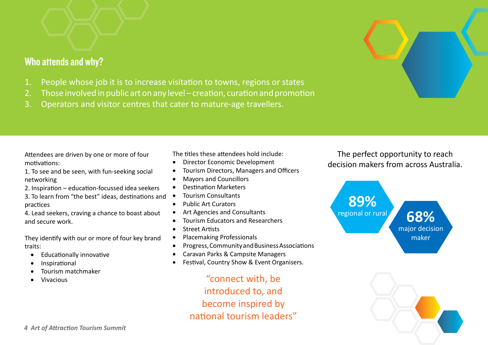### Who attends and why?

- 1. People whose job it is to increase visitation to towns, regions or states
- 2. Those involved in public art on any level creation, curation and promotion
- 3. Operators and visitor centres that cater to mature-age travellers.

Attendees are driven by one or more of four motivations:

1. To see and be seen, with fun-seeking social networking

2. Inspiration – education-focussed idea seekers

3. To learn from "the best" ideas, destinations and practices

4. Lead seekers, craving a chance to boast about and secure work.

They identify with our or more of four key brand traits:

- **Educationally innovative**
- **Inspirational**
- Tourism matchmaker
- **Vivacious**

The titles these attendees hold include:

- Director Economic Development
- Tourism Directors, Managers and Officers
- • Mayors and Councillors
- Destination Marketers
- • Tourism Consultants
- • Public Art Curators
- Art Agencies and Consultants
- • Tourism Educators and Researchers
- • Street Artists
- • Placemaking Professionals
- • Progress, Community and Business Associations
- Caravan Parks & Campsite Managers
- Festival, Country Show & Event Organisers.

"connect with, be introduced to, and become inspired by national tourism leaders"

The perfect opportunity to reach decision makers from across Australia.



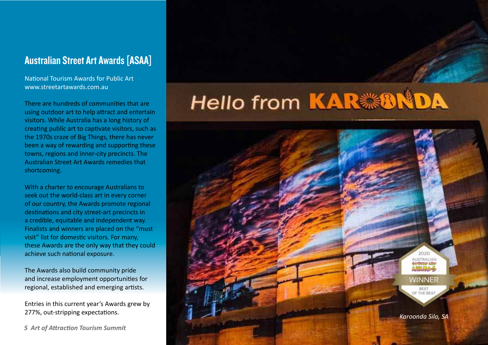### Australian Street Art Awards [ASAA]

National Tourism Awards for Public Art www.streetartawards.com.au

There are hundreds of communities that are using outdoor art to help attract and entertain visitors. While Australia has a long history of creating public art to captivate visitors, such as the 1970s craze of Big Things, there has never been a way of rewarding and supporting these towns, regions and inner-city precincts. The Australian Street Art Awards remedies that shortcoming.

With a charter to encourage Australians to seek out the world-class art in every corner of our country, the Awards promote regional destinations and city street-art precincts in a credible, equitable and independent way. Finalists and winners are placed on the "must visit" list for domestic visitors. For many, these Awards are the only way that they could achieve such national exposure.

The Awards also build community pride and increase employment opportunities for regional, established and emerging artists.

Entries in this current year's Awards grew by

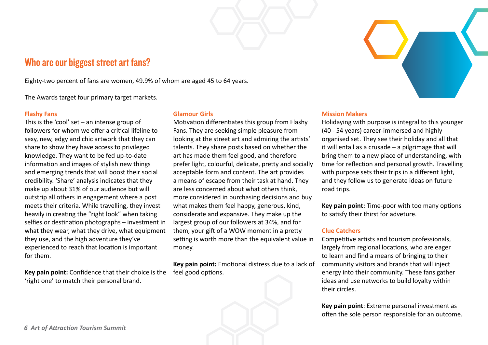### Who are our biggest street art fans?

Eighty-two percent of fans are women, 49.9% of whom are aged 45 to 64 years.

The Awards target four primary target markets.

#### **Flashy Fans**

This is the 'cool' set – an intense group of followers for whom we offer a critical lifeline to sexy, new, edgy and chic artwork that they can share to show they have access to privileged knowledge. They want to be fed up-to-date information and images of stylish new things and emerging trends that will boost their social credibility. 'Share' analysis indicates that they make up about 31% of our audience but will outstrip all others in engagement where a post meets their criteria. While travelling, they invest heavily in creating the "right look" when taking selfies or destination photographs – investment in what they wear, what they drive, what equipment they use, and the high adventure they've experienced to reach that location is important for them.

**Key pain point:** Confidence that their choice is the 'right one' to match their personal brand.

#### **Glamour Girls**

Motivation differentiates this group from Flashy Fans. They are seeking simple pleasure from looking at the street art and admiring the artists' talents. They share posts based on whether the art has made them feel good, and therefore prefer light, colourful, delicate, pretty and socially acceptable form and content. The art provides a means of escape from their task at hand. They are less concerned about what others think, more considered in purchasing decisions and buy what makes them feel happy, generous, kind, considerate and expansive. They make up the largest group of our followers at 34%, and for them, your gift of a WOW moment in a pretty setting is worth more than the equivalent value in money.

**Key pain point:** Emotional distress due to a lack of feel good options.

#### **Mission Makers**

Holidaying with purpose is integral to this younger (40 - 54 years) career-immersed and highly organised set. They see their holiday and all that it will entail as a crusade – a pilgrimage that will bring them to a new place of understanding, with time for reflection and personal growth. Travelling with purpose sets their trips in a different light, and they follow us to generate ideas on future road trips.

**Key pain point:** Time-poor with too many options to satisfy their thirst for adveture.

### **Clue Catchers**

Competitive artists and tourism professionals, largely from regional locations, who are eager to learn and find a means of bringing to their community visitors and brands that will inject energy into their community. These fans gather ideas and use networks to build loyalty within their circles.

**Key pain point**: Extreme personal investment as often the sole person responsible for an outcome.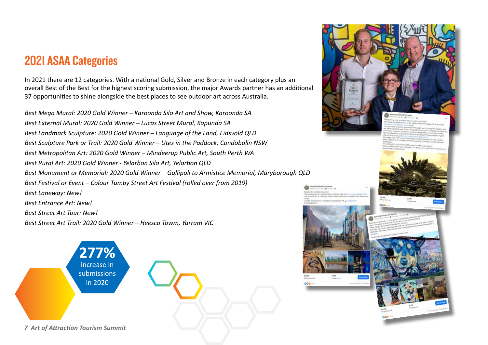# 2021 ASAA Categories

In 2021 there are 12 categories. With a national Gold, Silver and Bronze in each category plus an overall Best of the Best for the highest scoring submission, the major Awards partner has an additional 37 opportunities to shine alongside the best places to see outdoor art across Australia.

*Best Mega Mural: 2020 Gold Winner – Karoonda Silo Art and Show, Karoonda SA Best External Mural: 2020 Gold Winner – Lucas Street Mural, Kapunda SA Best Landmark Sculpture: 2020 Gold Winner – Language of the Land, Eidsvold QLD Best Sculpture Park or Trail: 2020 Gold Winner – Utes in the Paddock, Condobolin NSW Best Metropolitan Art: 2020 Gold Winner – Mindeerup Public Art, South Perth WA Best Rural Art: 2020 Gold Winner - Yelarbon Silo Art, Yelarbon QLD Best Monument or Memorial: 2020 Gold Winner – Gallipoli to Armistice Memorial, Maryborough QLD Best Festival or Event – Colour Tumby Street Art Festival (rolled over from 2019) Best Laneway: New! Best Entrance Art: New! Best Street Art Tour: New! Best Street Art Trail: 2020 Gold Winner – Heesco Towm, Yarram VIC*

> **277%** increase in **submissions** in 2020

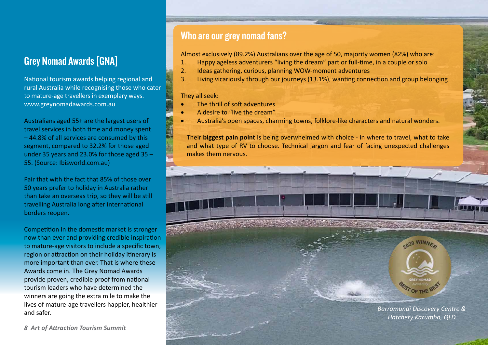### Grey Nomad Awards [GNA]

National tourism awards helping regional and rural Australia while recognising those who cater to mature-age travellers in exemplary ways. www.greynomadawards.com.au

Australians aged 55+ are the largest users of travel services in both time and money spent – 44.8% of all services are consumed by this segment, compared to 32.2% for those aged under 35 years and 23.0% for those aged 35 – 55. (Source: Ibisworld.com.au)

Pair that with the fact that 85% of those over 50 years prefer to holiday in Australia rather than take an overseas trip, so they will be still travelling Australia long after international borders reopen.

Competition in the domestic market is stronger now than ever and providing credible inspiration to mature-age visitors to include a specific town, region or attraction on their holiday itinerary is more important than ever. That is where these Awards come in. The Grey Nomad Awards provide proven, credible proof from national tourism leaders who have determined the winners are going the extra mile to make the lives of mature-age travellers happier, healthier and safer.

*8 Art of Attraction Tourism Summit* 

### Who are our grey nomad fans?

Almost exclusively (89.2%) Australians over the age of 50, majority women (82%) who are:

- 1. Happy ageless adventurers "living the dream" part or full-time, in a couple or solo
- 2. Ideas gathering, curious, planning WOW-moment adventures
- 3. Living vicariously through our journeys (13.1%), wanting connection and group belonging

### They all seek:

- The thrill of soft adventures
- A desire to "live the dream"
- Australia's open spaces, charming towns, folklore-like characters and natural wonders.

Their **biggest pain point** is being overwhelmed with choice - in where to travel, what to take and what type of RV to choose. Technical jargon and fear of facing unexpected challenges makes them nervous.



2020 WINNER

*Hatchery Karumba, QLD*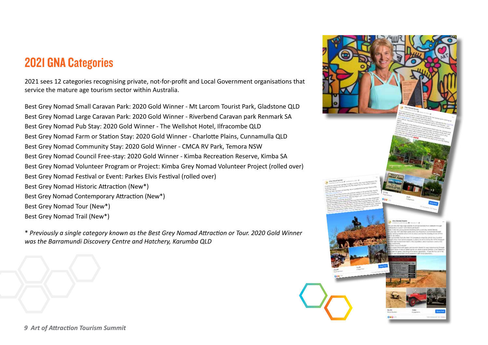# 2021 GNA Categories

2021 sees 12 categories recognising private, not-for-profit and Local Government organisations that service the mature age tourism sector within Australia.

Best Grey Nomad Small Caravan Park: 2020 Gold Winner - Mt Larcom Tourist Park, Gladstone QLD Best Grey Nomad Large Caravan Park: 2020 Gold Winner - Riverbend Caravan park Renmark SA Best Grey Nomad Pub Stay: 2020 Gold Winner - The Wellshot Hotel, Ilfracombe QLD Best Grey Nomad Farm or Station Stay: 2020 Gold Winner - Charlotte Plains, Cunnamulla QLD Best Grey Nomad Community Stay: 2020 Gold Winner - CMCA RV Park, Temora NSW Best Grey Nomad Council Free-stay: 2020 Gold Winner - Kimba Recreation Reserve, Kimba SA Best Grey Nomad Volunteer Program or Project: Kimba Grey Nomad Volunteer Project (rolled over) Best Grey Nomad Festival or Event: Parkes Elvis Festival (rolled over) Best Grey Nomad Historic Attraction (New\*) Best Grey Nomad Contemporary Attraction (New\*) Best Grey Nomad Tour (New\*) Best Grey Nomad Trail (New\*)

\* *Previously a single category known as the Best Grey Nomad Attraction or Tour. 2020 Gold Winner was the Barramundi Discovery Centre and Hatchery, Karumba QLD*

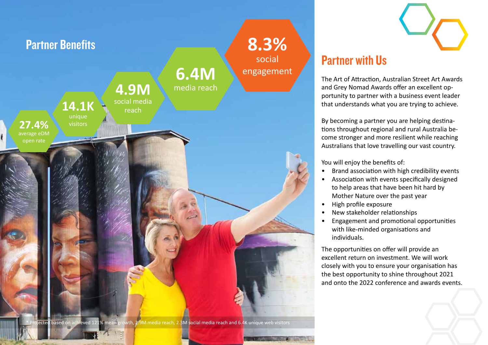

## Partner with Us

The Art of Attraction, Australian Street Art Awards and Grey Nomad Awards offer an excellent opportunity to partner with a business event leader that understands what you are trying to achieve.

By becoming a partner you are helping destinations throughout regional and rural Australia become stronger and more resilient while reaching Australians that love travelling our vast country.

You will enjoy the benefits of:

- Brand association with high credibility events
- Association with events specifically designed to help areas that have been hit hard by Mother Nature over the past year
- High profile exposure
- New stakeholder relationships
- Engagement and promotional opportunities with like-minded organisations and individuals.

The opportunities on offer will provide an excellent return on investment. We will work closely with you to ensure your organisation has the best opportunity to shine throughout 2021 and onto the 2022 conference and awards events.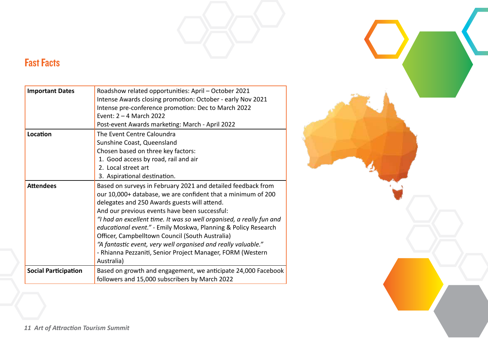### Fast Facts

| <b>Important Dates</b>      | Roadshow related opportunities: April - October 2021<br>Intense Awards closing promotion: October - early Nov 2021<br>Intense pre-conference promotion: Dec to March 2022<br>Event: 2 - 4 March 2022<br>Post-event Awards marketing: March - April 2022                                                                                                                                                                                                                                                                                                                 |
|-----------------------------|-------------------------------------------------------------------------------------------------------------------------------------------------------------------------------------------------------------------------------------------------------------------------------------------------------------------------------------------------------------------------------------------------------------------------------------------------------------------------------------------------------------------------------------------------------------------------|
| Location                    | The Event Centre Caloundra<br>Sunshine Coast, Queensland<br>Chosen based on three key factors:<br>1. Good access by road, rail and air<br>2. Local street art<br>3. Aspirational destination.                                                                                                                                                                                                                                                                                                                                                                           |
| <b>Attendees</b>            | Based on surveys in February 2021 and detailed feedback from<br>our 10,000+ database, we are confident that a minimum of 200<br>delegates and 250 Awards guests will attend.<br>And our previous events have been successful:<br>"I had an excellent time. It was so well organised, a really fun and<br>educational event." - Emily Moskwa, Planning & Policy Research<br>Officer, Campbelltown Council (South Australia)<br>"A fantastic event, very well organised and really valuable."<br>- Rhianna Pezzaniti, Senior Project Manager, FORM (Western<br>Australia) |
| <b>Social Participation</b> | Based on growth and engagement, we anticipate 24,000 Facebook<br>followers and 15,000 subscribers by March 2022                                                                                                                                                                                                                                                                                                                                                                                                                                                         |

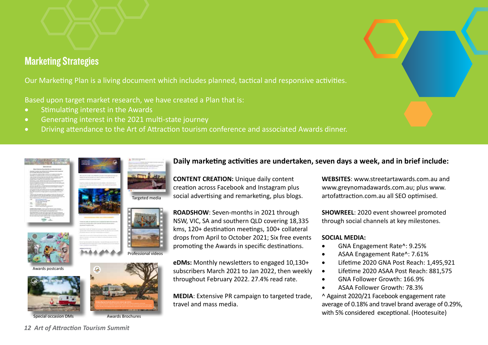### Marketing Strategies

Our Marketing Plan is a living document which includes planned, tactical and responsive activities.

Based upon target market research, we have created a Plan that is:

- Stimulating interest in the Awards
- • Generating interest in the 2021 multi-state journey
- Driving attendance to the Art of Attraction tourism conference and associated Awards dinner.

### **Daily marketing activities are undertaken, seven days a week, and in brief include:**

**CONTENT CREATION:** Unique daily content creation across Facebook and Instagram plus social advertising and remarketing, plus blogs.

**ROADSHOW**: Seven-months in 2021 through NSW, VIC, SA and southern QLD covering 18,335 kms, 120+ destination meetings, 100+ collateral drops from April to October 2021; Six free events promoting the Awards in specific destinations.

**eDMs:** Monthly newsletters to engaged 10,130+ subscribers March 2021 to Jan 2022, then weekly throughout February 2022. 27.4% read rate.

**MEDIA**: Extensive PR campaign to targeted trade,

travel and mass media.

**WEBSITES**: www.streetartawards.com.au and www.greynomadawards.com.au; plus www. artofattraction.com.au all SEO optimised.

**SHOWREEL**: 2020 event showreel promoted through social channels at key milestones.

### **SOCIAL MEDIA:**

- • GNA Engagement Rate^: 9.25%
- ASAA Engagement Rate^: 7.61%
- • Lifetime 2020 GNA Post Reach: 1,495,921
- • Lifetime 2020 ASAA Post Reach: 881,575
- GNA Follower Growth: 166.9%
- ASAA Follower Growth: 78.3%

^ Against 2020/21 Facebook engagement rate average of 0.18% and travel brand average of 0.29%, with 5% considered exceptional. (Hootesuite)

Awards postcards







Targeted media



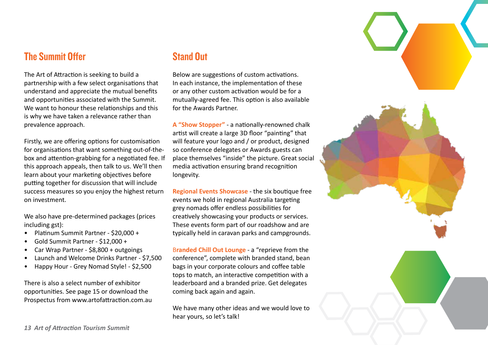### The Summit Offer

The Art of Attraction is seeking to build a partnership with a few select organisations that understand and appreciate the mutual benefits and opportunities associated with the Summit. We want to honour these relationships and this is why we have taken a relevance rather than prevalence approach.

Firstly, we are offering options for customisation for organisations that want something out-of-thebox and attention-grabbing for a negotiated fee. If this approach appeals, then talk to us. We'll then learn about your marketing objectives before putting together for discussion that will include success measures so you enjoy the highest return on investment.

We also have pre-determined packages (prices including gst):

- Platinum Summit Partner \$20,000 +
- Gold Summit Partner \$12,000 +
- Car Wrap Partner \$8,800 + outgoings
- Launch and Welcome Drinks Partner \$7,500
- Happy Hour Grey Nomad Style! \$2,500

There is also a select number of exhibitor opportunities. See page 15 or download the Prospectus from www.artofattraction.com.au

### Stand Out

Below are suggestions of custom activations. In each instance, the implementation of these or any other custom activation would be for a mutually-agreed fee. This option is also available for the Awards Partner.

**A "Show Stopper"** - a nationally-renowned chalk artist will create a large 3D floor "painting" that will feature your logo and / or product, designed so conference delegates or Awards guests can place themselves "inside" the picture. Great social media activation ensuring brand recognition longevity.

**Regional Events Showcase** - the six boutique free events we hold in regional Australia targeting grey nomads offer endless possibilities for creatively showcasing your products or services. These events form part of our roadshow and are typically held in caravan parks and campgrounds.

B**randed Chill Out Lounge** - a "reprieve from the conference", complete with branded stand, bean bags in your corporate colours and coffee table tops to match, an interactive competition with a leaderboard and a branded prize. Get delegates coming back again and again.

We have many other ideas and we would love to hear yours, so let's talk!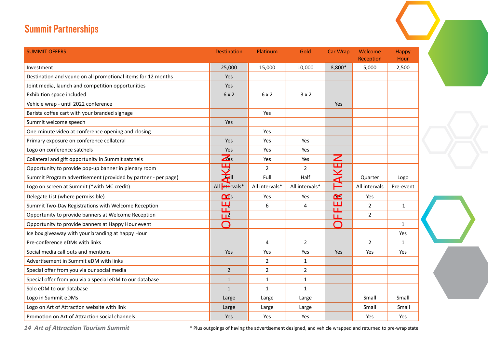### Summit Partnerships

| <b>SUMMIT OFFERS</b>                                          | <b>Destination</b>                | Platinum       | Gold           | <b>Car Wrap</b> | Welcome<br>Reception | <b>Happy</b><br>Hour |
|---------------------------------------------------------------|-----------------------------------|----------------|----------------|-----------------|----------------------|----------------------|
| Investment                                                    | 25,000                            | 15,000         | 10,000         | 8,800*          | 5,000                | 2,500                |
| Destination and veune on all promotional items for 12 months  | Yes                               |                |                |                 |                      |                      |
| Joint media, launch and competition opportunities             | Yes                               |                |                |                 |                      |                      |
| Exhibition space included                                     | 6x2                               | 6x2            | $3 \times 2$   |                 |                      |                      |
| Vehicle wrap - until 2022 conference                          |                                   |                |                | <b>Yes</b>      |                      |                      |
| Barista coffee cart with your branded signage                 |                                   | Yes            |                |                 |                      |                      |
| Summit welcome speech                                         | Yes                               |                |                |                 |                      |                      |
| One-minute video at conference opening and closing            |                                   | Yes            |                |                 |                      |                      |
| Primary exposure on conference collateral                     | Yes                               | Yes            | Yes            |                 |                      |                      |
| Logo on conference satchels                                   | Yes                               | Yes            | Yes            |                 |                      |                      |
| Collateral and gift opportunity in Summit satchels            | $\overline{\mathbf{A}}$ s         | Yes            | Yes            | Z               |                      |                      |
| Opportunity to provide pop-up banner in plenary room          | 巴                                 | $\overline{2}$ | $\overline{2}$ | TAKE            |                      |                      |
| Summit Program advertisement (provided by partner - per page) | $\overline{\mathbf{z}}$           | Full           | Half           |                 | Quarter              | Logo                 |
| Logo on screen at Summit (*with MC credit)                    | All intervals*                    | All intervals* | All intervals* |                 | All intervals        | Pre-event            |
| Delegate List (where permissible)                             | <b>DES</b>                        | Yes            | Yes            | Œ               | Yes                  |                      |
| Summit Two-Day Registrations with Welcome Reception           | $\frac{\mathbf{H}}{\mathbf{H}^2}$ | 6              | $\overline{4}$ | ப               | $\overline{2}$       | $\mathbf{1}$         |
| Opportunity to provide banners at Welcome Reception           |                                   |                |                | 正<br>ய          | $\overline{2}$       |                      |
| Opportunity to provide banners at Happy Hour event            | $\bigcap$                         |                |                | $\bigcap$       |                      | $\mathbf{1}$         |
| Ice box giveaway with your branding at happy Hour             |                                   |                |                |                 |                      | Yes                  |
| Pre-conference eDMs with links                                |                                   | $\overline{4}$ | $\overline{2}$ |                 | $\overline{2}$       | $\mathbf{1}$         |
| Social media call outs and mentions                           | Yes                               | Yes            | Yes            | Yes             | Yes                  | Yes                  |
| Advertisement in Summit eDM with links                        |                                   | $\overline{2}$ | $\mathbf{1}$   |                 |                      |                      |
| Special offer from you via our social media                   | $\overline{2}$                    | $\overline{2}$ | $\overline{2}$ |                 |                      |                      |
| Special offer from you via a special eDM to our database      | $\mathbf{1}$                      | $\mathbf{1}$   | $\mathbf{1}$   |                 |                      |                      |
| Solo eDM to our database                                      | $\mathbf{1}$                      | $\mathbf{1}$   | $\mathbf{1}$   |                 |                      |                      |
| Logo in Summit eDMs                                           | Large                             | Large          | Large          |                 | Small                | Small                |
| Logo on Art of Attraction website with link                   | Large                             | Large          | Large          |                 | Small                | Small                |
| Promotion on Art of Attraction social channels                | Yes                               | Yes            | Yes            |                 | Yes                  | Yes                  |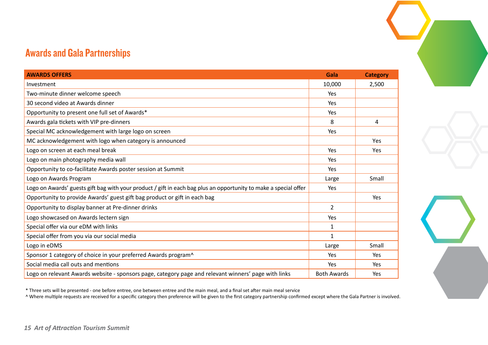### Awards and Gala Partnerships

| <b>AWARDS OFFERS</b>                                                                                             | Gala               | <b>Category</b> |
|------------------------------------------------------------------------------------------------------------------|--------------------|-----------------|
| Investment                                                                                                       | 10,000             | 2,500           |
| Two-minute dinner welcome speech                                                                                 | <b>Yes</b>         |                 |
| 30 second video at Awards dinner                                                                                 | Yes                |                 |
| Opportunity to present one full set of Awards*                                                                   | Yes                |                 |
| Awards gala tickets with VIP pre-dinners                                                                         | 8                  | 4               |
| Special MC acknowledgement with large logo on screen                                                             | Yes                |                 |
| MC acknowledgement with logo when category is announced                                                          |                    | Yes             |
| Logo on screen at each meal break                                                                                | <b>Yes</b>         | Yes             |
| Logo on main photography media wall                                                                              | Yes                |                 |
| Opportunity to co-facilitate Awards poster session at Summit                                                     | Yes                |                 |
| Logo on Awards Program                                                                                           | Large              | Small           |
| Logo on Awards' guests gift bag with your product / gift in each bag plus an opportunity to make a special offer |                    |                 |
| Opportunity to provide Awards' guest gift bag product or gift in each bag                                        |                    | Yes             |
| Opportunity to display banner at Pre-dinner drinks                                                               |                    |                 |
| Logo showcased on Awards lectern sign                                                                            |                    |                 |
| Special offer via our eDM with links                                                                             | 1                  |                 |
| Special offer from you via our social media                                                                      | $\mathbf{1}$       |                 |
| Logo in eDMS                                                                                                     | Large              | Small           |
| Sponsor 1 category of choice in your preferred Awards program^                                                   | Yes                | Yes             |
| Social media call outs and mentions                                                                              |                    | Yes             |
| Logo on relevant Awards website - sponsors page, category page and relevant winners' page with links             | <b>Both Awards</b> | Yes             |

\* Three sets will be presented - one before entree, one between entree and the main meal, and a final set after main meal service

^ Where multiple requests are received for a specific category then preference will be given to the first category partnership confirmed except where the Gala Partner is involved.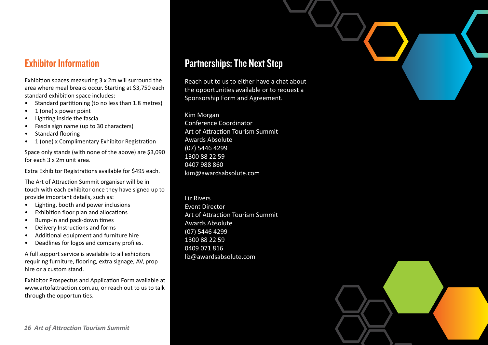### Exhibitor Information

Exhibition spaces measuring 3 x 2m will surround the area where meal breaks occur. Starting at \$3,750 each standard exhibition space includes:

- Standard partitioning (to no less than 1.8 metres)
- 1 (one) x power point
- Lighting inside the fascia
- Fascia sign name (up to 30 characters)
- Standard flooring
- 1 (one) x Complimentary Exhibitor Registration

Space only stands (with none of the above) are \$3,090 for each 3 x 2m unit area.

Extra Exhibitor Registrations available for \$495 each.

The Art of Attraction Summit organiser will be in touch with each exhibitor once they have signed up to provide important details, such as:

- Lighting, booth and power inclusions
- Exhibition floor plan and allocations
- Bump-in and pack-down times
- Delivery Instructions and forms
- Additional equipment and furniture hire
- Deadlines for logos and company profiles.

A full support service is available to all exhibitors requiring furniture, flooring, extra signage, AV, prop hire or a custom stand.

Exhibitor Prospectus and Application Form available at www.artofattraction.com.au, or reach out to us to talk through the opportunities.

### Partnerships: The Next Step

Reach out to us to either have a chat about the opportunities available or to request a Sponsorship Form and Agreement.

Kim Morgan Conference Coordinator Art of Attraction Tourism Summit Awards Absolute (07) 5446 4299 1300 88 22 59 0407 988 860 kim@awardsabsolute.com

Liz Rivers Event Director Art of Attraction Tourism Summit Awards Absolute (07) 5446 4299 1300 88 22 59 0409 071 816 liz@awardsabsolute.com